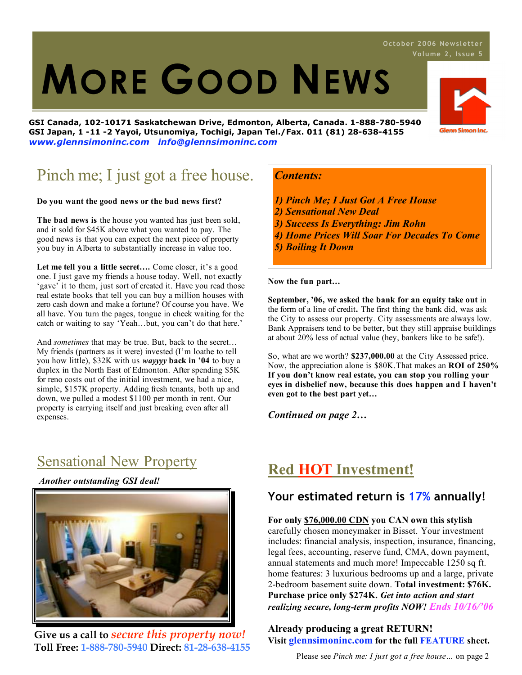# 1. **MORE GOOD NEWS**

**GSI Canada, 102-10171 Saskatchewan Drive, Edmonton, Alberta, Canada. 1-888-780-5940 GSI Japan, 1 -11 -2 Yayoi, Utsunomiya, Tochigi, Japan Tel./Fax. 011 (81) 28-638-4155** *www.glennsimoninc.com info@glennsimoninc.com*

### Pinch me; I just got a free house.

#### **Do you want the good news or the bad news first?**

**The bad news is** the house you wanted has just been sold, and it sold for \$45K above what you wanted to pay. The good news is that you can expect the next piece of property you buy in Alberta to substantially increase in value too.

**Let me tell you a little secret….** Come closer, it's a good one. I just gave my friends a house today. Well, not exactly 'gave' it to them, just sort of created it. Have you read those real estate books that tell you can buy a million houses with zero cash down and make a fortune? Of course you have. We all have. You turn the pages, tongue in cheek waiting for the catch or waiting to say 'Yeah…but, you can't do that here.'

And *sometimes* that may be true. But, back to the secret… My friends (partners as it were) invested (I'm loathe to tell you how little), \$32K with us *wayyyy* **back in '04** to buy a duplex in the North East of Edmonton. After spending \$5K for reno costs out of the initial investment, we had a nice, simple, \$157K property. Adding fresh tenants, both up and down, we pulled a modest \$1100 per month in rent. Our property is carrying itself and just breaking even after all expenses.

### Sensational New Property

*Another outstanding GSI deal!*



**Give us a call to** *secure this property now!* **Toll Free: 1-888-780-5940 Direct: 81-28-638-4155**

#### *Contents:*

- *1) Pinch Me; I Just Got A Free House*
- *2) Sensational New Deal*
- *3) Success Is Everything: Jim Rohn*
- *4) Home Prices Will Soar For Decades To Come*
- *5) Boiling It Down*

**Now the fun part…**

**September, '06, we asked the bank for an equity take out** in the form of a line of credit**.** The first thing the bank did, was ask the City to assess our property. City assessments are always low. Bank Appraisers tend to be better, but they still appraise buildings at about 20% less of actual value (hey, bankers like to be safe!).

So, what are we worth? **\$237,000.00** at the City Assessed price. Now, the appreciation alone is \$80K.That makes an **ROI of 250% If you don't know real estate, you can stop you rolling your eyes in disbelief now, because this does happen and I haven't even got to the best part yet…**

*Continued on page 2…*

### **Red HOT Investment!**

### **Your estimated return is 17% annually!**

#### **For only \$76,000.00 CDN you CAN own this stylish**

carefully chosen moneymaker in Bisset. Your investment includes: financial analysis, inspection, insurance, financing, legal fees, accounting, reserve fund, CMA, down payment, annual statements and much more! Impeccable 1250 sq ft. home features: 3 luxurious bedrooms up and a large, private 2-bedroom basement suite down. **Total investment: \$76K. Purchase price only \$274K.** *Get into action and start realizing secure, long-term profits NOW! Ends 10/16/'06*

#### **Already producing a great RETURN! Visit glennsimoninc.com for the full FEATURE sheet.**

Please see *Pinch me: I just got a free house…* on page 2



### **Octo be r 2006 News l ett er**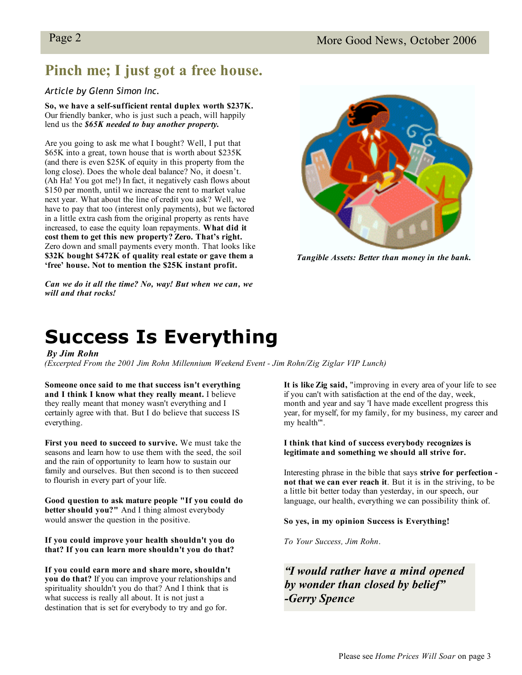### **Pinch me; I just got a free house.**

#### *Article by Glenn Simon Inc.*

**So, we have a self-sufficient rental duplex worth \$237K.** Our friendly banker, who is just such a peach, will happily lend us the *\$65K needed to buy another property.*

Are you going to ask me what I bought? Well, I put that \$65K into a great, town house that is worth about \$235K (and there is even \$25K of equity in this property from the long close). Does the whole deal balance? No, it doesn't. (Ah Ha! You got me!) In fact, it negatively cash flows about \$150 per month, until we increase the rent to market value next year. What about the line of credit you ask? Well, we have to pay that too (interest only payments), but we factored in a little extra cash from the original property as rents have increased, to ease the equity loan repayments. **What did it cost them to get this new property? Zero. That's right.** Zero down and small payments every month. That looks like **\$32K bought \$472K of quality real estate or gave them a 'free' house. Not to mention the \$25K instant profit.**



*Tangible Assets: Better than money in the bank.*

#### *Can we do it all the time? No, way! But when we can, we will and that rocks!*

## **Success Is Everything**

#### *By Jim Rohn*

*(Excerpted From the 2001 Jim Rohn Millennium Weekend Event - Jim Rohn/Zig Ziglar VIP Lunch)*

**Someone** once said to me that success isn't everything **Example 2011** It is like Zig said, "improvin **and I think I know what they really meant.** I believe they really meant that money wasn't everything and I certainly agree with that. But I do believe that success IS everything.

seasons and learn how to use them with the seed, the soil **First you need to succeed to survive.** We must take the and the rain of opportunity to learn how to sustain our family and ourselves. But then second is to then succeed to flourish in every part of your life.

**Good question to ask mature people "If you could do better should you?"** And I thing almost everybody would answer the question in the positive.

**If you could improve your health shouldn't you do that? If you can learn more shouldn't you do that?**

destination that is set for everybody to try and go for. **If you could earn more and share more, shouldn't you do that?** If you can improve your relationships and spirituality shouldn't you do that? And I think that is what success is really all about. It is not just a

**It is like Zig said,** "improving in every area of your life to see if you can't with satisfaction at the end of the day, week, month and year and say 'I have made excellent progress this year, for myself, for my family, for my business, my career and my health'".

#### **I think that kind of success everybody recognizes is legitimate and something we should all strive for.**

Interesting phrase in the bible that says **strive for perfection not that we can ever reach it**. But it is in the striving, to be a little bit better today than yesterday, in our speech, our language, our health, everything we can possibility think of.

#### **So yes, in my opinion Success is Everything!**

*To Your Success, Jim Rohn*.

*"I would rather have a mind opened by* wonder than closed by belief" *-Gerry Spence*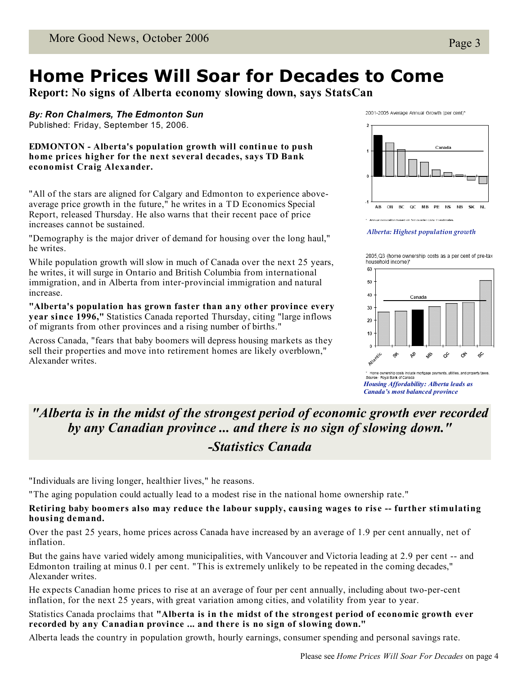### **Home Prices Will Soar for Decades to Come**

**Report: No signs of Alberta economy slowing down, says StatsCan**

*By: Ron Chalmers, The Edmonton Sun*

Published: Friday, September 15, 2006.

**EDMONTON - Alberta's population growth will continue to push home prices higher for the next several decades, says TD Bank economist Craig Alexander.**

"All of the stars are aligned for Calgary and Edmonton to experience aboveaverage price growth in the future," he writes in a TD Economics Special Report, released Thursday. He also warns that their recent pace of price increases cannot be sustained.

"Demography is the major driver of demand for housing over the long haul," he writes.

While population growth will slow in much of Canada over the next 25 years, he writes, it will surge in Ontario and British Columbia from international immigration, and in Alberta from inter-provincial immigration and natural increase.

**"Alberta's population has grown faster than any other province every year since 1996,"** Statistics Canada reported Thursday, citing "large inflows of migrants from other provinces and a rising number of births."

Across Canada, "fears that baby boomers will depress housing markets as they sell their properties and move into retirement homes are likely overblown," Alexander writes.

2001-2005 Average Annual Growth (per cent)\*



*Alberta: Highest population growth*

2005.Q3 (home ownership costs as a per cent of pre-tax household income)\*



Home ownership costs include mortgage payments, utilities, and property taxes. Source: Royal Bank of Canada *Housing Affordability: Alberta leads as Canada's most balanced province*

### *"Alberta is in the midst of the strongest period of economic growth ever recorded by any Canadian province ... and there is no sign of slowing down." -Statistics Canada*

"Individuals are living longer, healthier lives," he reasons.

"The aging population could actually lead to a modest rise in the national home ownership rate."

#### **Retiring baby boomers also may reduce the labour supply, causing wages to rise -- further stimulating housing demand.**

Over the past 25 years, home prices across Canada have increased by an average of 1.9 per cent annually, net of inflation.

But the gains have varied widely among municipalities, with Vancouver and Victoria leading at 2.9 per cent -- and Edmonton trailing at minus 0.1 per cent. "This is extremely unlikely to be repeated in the coming decades," Alexander writes.

He expects Canadian home prices to rise at an average of four per cent annually, including about two-per-cent inflation, for the next 25 years, with great variation among cities, and volatility from year to year.

Statistics Canada proclaims that **"Alberta is in the midst of the strongest period of economic growth ever recorded by any Canadian province ... and there is no sign of slowing down."**

Alberta leads the country in population growth, hourly earnings, consumer spending and personal savings rate.